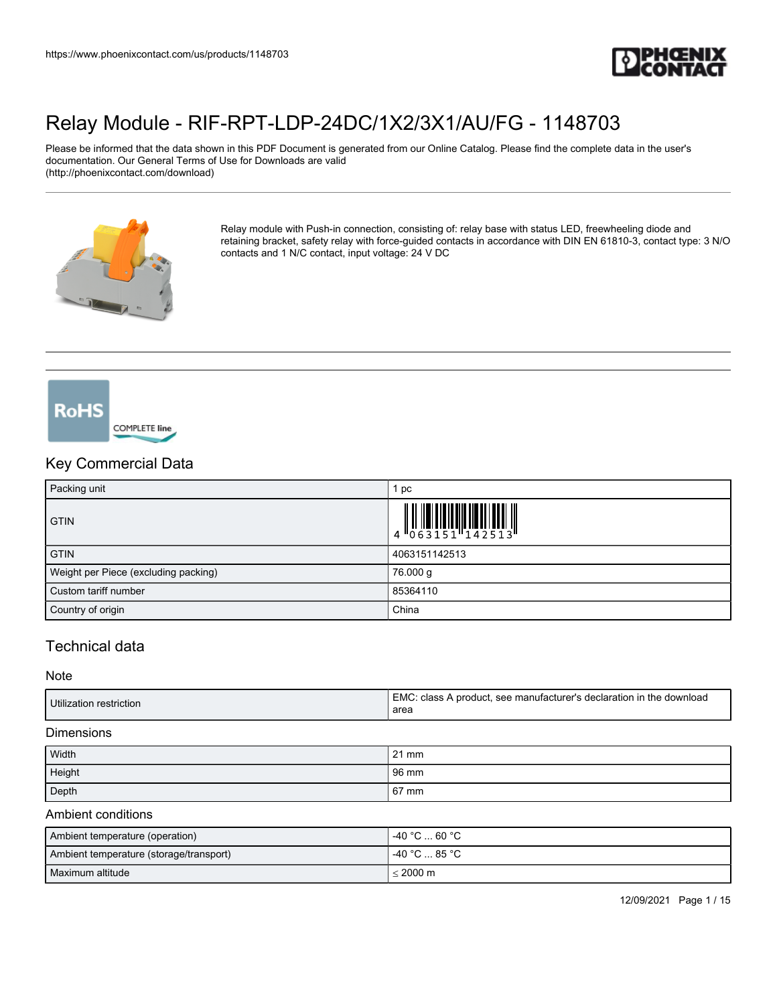

Please be informed that the data shown in this PDF Document is generated from our Online Catalog. Please find the complete data in the user's documentation. Our General Terms of Use for Downloads are valid (http://phoenixcontact.com/download)



Relay module with Push-in connection, consisting of: relay base with status LED, freewheeling diode and retaining bracket, safety relay with force-guided contacts in accordance with DIN EN 61810-3, contact type: 3 N/O contacts and 1 N/C contact, input voltage: 24 V DC



**RoHS** 

## Key Commercial Data

| Packing unit                         | рc            |
|--------------------------------------|---------------|
| <b>GTIN</b>                          |               |
| <b>GTIN</b>                          | 4063151142513 |
| Weight per Piece (excluding packing) | 76.000 g      |
| Custom tariff number                 | 85364110      |
| Country of origin                    | China         |

## Technical data

**Note** 

| Utilization restriction | EMC: class A product, see manufacturer's declaration in the download<br>area |
|-------------------------|------------------------------------------------------------------------------|
|                         |                                                                              |

#### **Dimensions**

| Width  | $21 \text{ mm}$ |
|--------|-----------------|
| Height | 96 mm           |
| Depth  | 67 mm           |

#### Ambient conditions

| Ambient temperature (operation)         | l -40 °C  60 °C .  |
|-----------------------------------------|--------------------|
| Ambient temperature (storage/transport) | 1 -40 °C  85 °C    |
| l Maximum altitude                      | $< 2000 \text{ m}$ |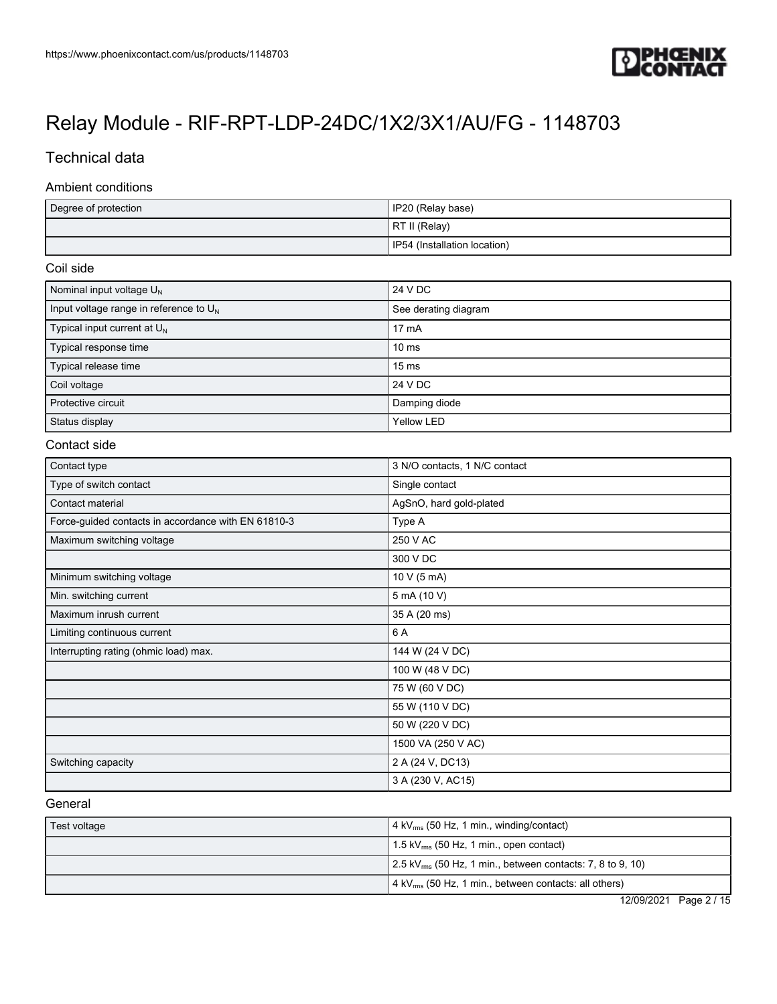

## Technical data

#### Ambient conditions

| Degree of protection | IP20 (Relay base)            |
|----------------------|------------------------------|
|                      | RT II (Relay)                |
|                      | IP54 (Installation location) |

### Coil side

| Nominal input voltage $U_N$               | 24 V DC              |
|-------------------------------------------|----------------------|
| Input voltage range in reference to $U_N$ | See derating diagram |
| Typical input current at $U_{N}$          | $17 \text{ mA}$      |
| Typical response time                     | $10 \text{ ms}$      |
| Typical release time                      | $15 \text{ ms}$      |
| Coil voltage                              | 24 V DC              |
| Protective circuit                        | Damping diode        |
| Status display                            | Yellow LED           |

#### Contact side

| Contact type                                        | 3 N/O contacts, 1 N/C contact |
|-----------------------------------------------------|-------------------------------|
| Type of switch contact                              | Single contact                |
| Contact material                                    | AgSnO, hard gold-plated       |
| Force-guided contacts in accordance with EN 61810-3 | Type A                        |
| Maximum switching voltage                           | 250 V AC                      |
|                                                     | 300 V DC                      |
| Minimum switching voltage                           | 10 V (5 mA)                   |
| Min. switching current                              | 5 mA (10 V)                   |
| Maximum inrush current                              | 35 A (20 ms)                  |
| Limiting continuous current                         | 6 A                           |
| Interrupting rating (ohmic load) max.               | 144 W (24 V DC)               |
|                                                     | 100 W (48 V DC)               |
|                                                     | 75 W (60 V DC)                |
|                                                     | 55 W (110 V DC)               |
|                                                     | 50 W (220 V DC)               |
|                                                     | 1500 VA (250 V AC)            |
| Switching capacity                                  | 2 A (24 V, DC13)              |
|                                                     | 3 A (230 V, AC15)             |

### General

| Test voltage | $4$ kV <sub>rms</sub> (50 Hz, 1 min., winding/contact)                              |
|--------------|-------------------------------------------------------------------------------------|
|              | 1.5 kV $_{\rm rms}$ (50 Hz, 1 min., open contact)                                   |
|              | $\frac{1}{2}$ .5 kV <sub>rms</sub> (50 Hz, 1 min., between contacts: 7, 8 to 9, 10) |
|              | 4 kV <sub>rms</sub> (50 Hz, 1 min., between contacts: all others)                   |

12/09/2021 Page 2 / 15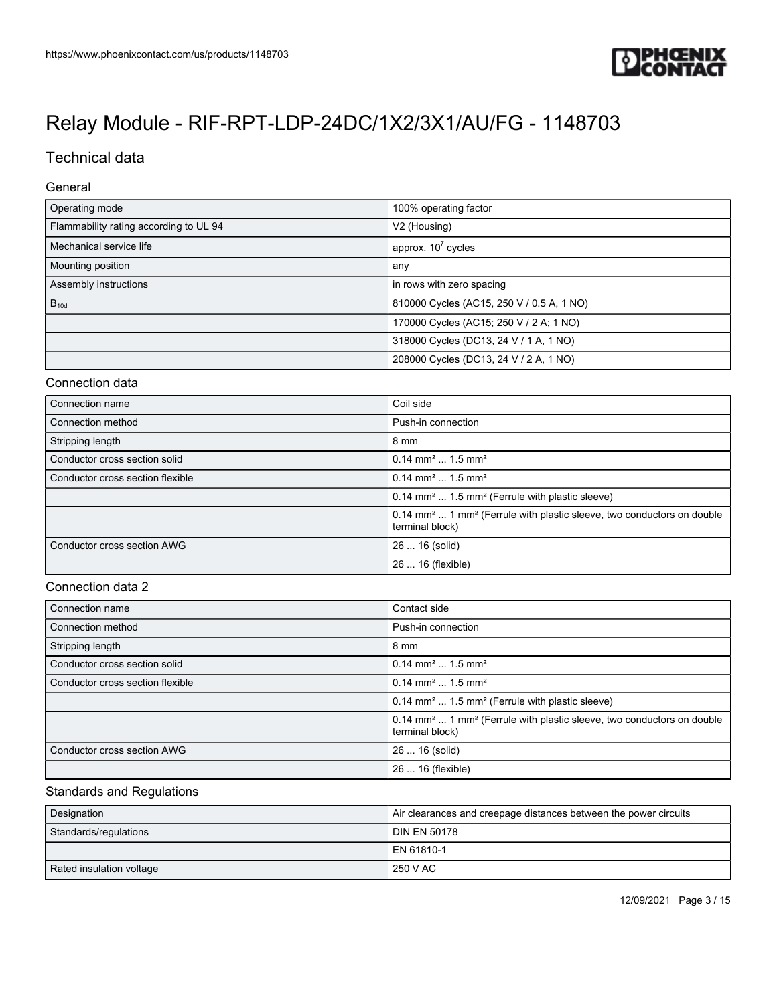

## Technical data

#### General

| Operating mode                         | 100% operating factor                     |
|----------------------------------------|-------------------------------------------|
| Flammability rating according to UL 94 | V <sub>2</sub> (Housing)                  |
| Mechanical service life                | approx. $10^7$ cycles                     |
| Mounting position                      | any                                       |
| Assembly instructions                  | in rows with zero spacing                 |
| $B_{10d}$                              | 810000 Cycles (AC15, 250 V / 0.5 A, 1 NO) |
|                                        | 170000 Cycles (AC15; 250 V / 2 A; 1 NO)   |
|                                        | 318000 Cycles (DC13, 24 V / 1 A, 1 NO)    |
|                                        | 208000 Cycles (DC13, 24 V / 2 A, 1 NO)    |

### Connection data

| Connection name                  | Coil side                                                                                                        |
|----------------------------------|------------------------------------------------------------------------------------------------------------------|
| Connection method                | Push-in connection                                                                                               |
| Stripping length                 | 8 mm                                                                                                             |
| Conductor cross section solid    | $0.14$ mm <sup>2</sup> 1.5 mm <sup>2</sup>                                                                       |
| Conductor cross section flexible | $0.14$ mm <sup>2</sup> 1.5 mm <sup>2</sup>                                                                       |
|                                  | $0.14$ mm <sup>2</sup> 1.5 mm <sup>2</sup> (Ferrule with plastic sleeve)                                         |
|                                  | 0.14 mm <sup>2</sup> 1 mm <sup>2</sup> (Ferrule with plastic sleeve, two conductors on double<br>terminal block) |
| Conductor cross section AWG      | 26  16 (solid)                                                                                                   |
|                                  | 26  16 (flexible)                                                                                                |

### Connection data 2

| Connection name                  | Contact side                                                                                                     |
|----------------------------------|------------------------------------------------------------------------------------------------------------------|
| Connection method                | Push-in connection                                                                                               |
| Stripping length                 | 8 mm                                                                                                             |
| Conductor cross section solid    | $0.14$ mm <sup>2</sup> 1.5 mm <sup>2</sup>                                                                       |
| Conductor cross section flexible | $0.14$ mm <sup>2</sup> 1.5 mm <sup>2</sup>                                                                       |
|                                  | 0.14 mm <sup>2</sup> 1.5 mm <sup>2</sup> (Ferrule with plastic sleeve)                                           |
|                                  | 0.14 mm <sup>2</sup> 1 mm <sup>2</sup> (Ferrule with plastic sleeve, two conductors on double<br>terminal block) |
| Conductor cross section AWG      | 26  16 (solid)                                                                                                   |
|                                  | 26  16 (flexible)                                                                                                |

### Standards and Regulations

| Designation              | Air clearances and creepage distances between the power circuits |
|--------------------------|------------------------------------------------------------------|
| Standards/regulations    | l DIN EN 50178                                                   |
|                          | l EN 61810-1                                                     |
| Rated insulation voltage | 250 V AC                                                         |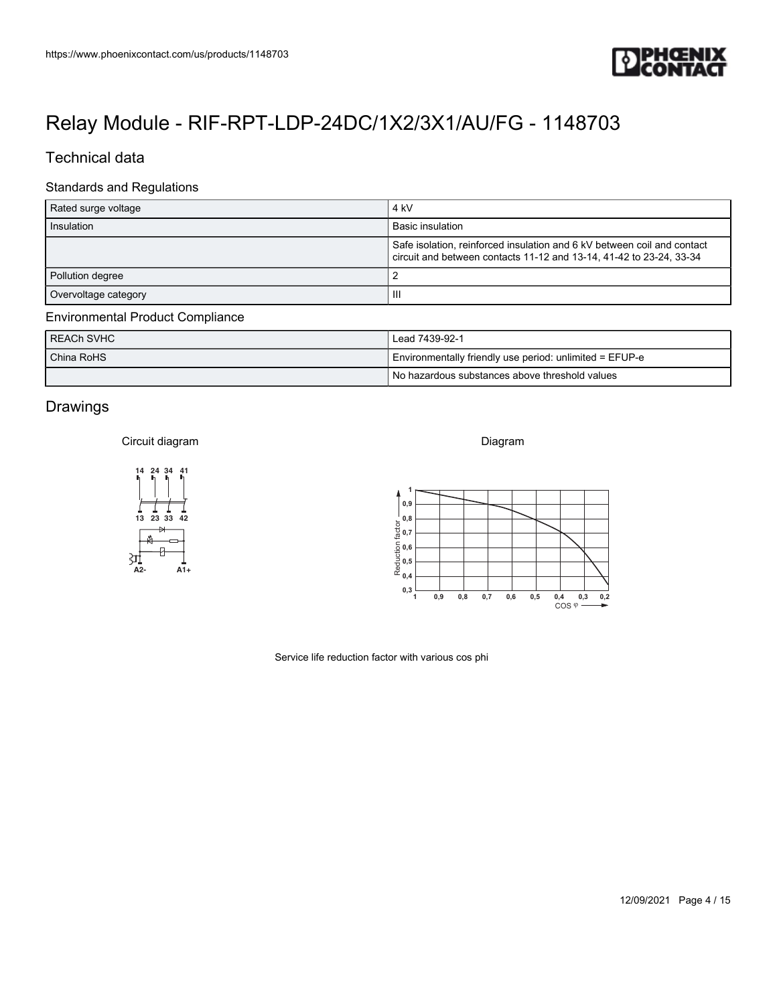

## Technical data

### Standards and Regulations

| https://www.phoenixcontact.com/us/products/1148703 | <b>IPHŒNIX<br/>ICONTACT</b>                                                                                                                                       |
|----------------------------------------------------|-------------------------------------------------------------------------------------------------------------------------------------------------------------------|
|                                                    |                                                                                                                                                                   |
|                                                    | Relay Module - RIF-RPT-LDP-24DC/1X2/3X1/AU/FG - 1148703                                                                                                           |
| Technical data                                     |                                                                                                                                                                   |
| <b>Standards and Regulations</b>                   |                                                                                                                                                                   |
| Rated surge voltage                                | $4 \ \mathrm{kV}$                                                                                                                                                 |
| Insulation                                         | <b>Basic insulation</b>                                                                                                                                           |
|                                                    | Safe isolation, reinforced insulation and 6 kV between coil and contact<br>circuit and between contacts 11-12 and 13-14, 41-42 to 23-24, 33-34                    |
| Pollution degree                                   | $\overline{2}$                                                                                                                                                    |
| Overvoltage category                               | $\ensuremath{\mathsf{III}}\xspace$                                                                                                                                |
| <b>Environmental Product Compliance</b>            |                                                                                                                                                                   |
| <b>REACh SVHC</b><br>China RoHS                    | Lead 7439-92-1<br>Environmentally friendly use period: unlimited = EFUP-e                                                                                         |
|                                                    | No hazardous substances above threshold values                                                                                                                    |
| Drawings                                           |                                                                                                                                                                   |
|                                                    |                                                                                                                                                                   |
| Circuit diagram                                    | Diagram                                                                                                                                                           |
| 14 24 34 41<br>ь                                   |                                                                                                                                                                   |
|                                                    | 0,9                                                                                                                                                               |
| 13 23 33 42                                        | $\frac{1}{20}$ 0,8<br>$\frac{1}{20}$ 0,7                                                                                                                          |
|                                                    |                                                                                                                                                                   |
| 31<br>A2-<br>$A1+$                                 | $\frac{1}{2}$ 0,6<br>$\frac{1}{2}$ 0,5<br>$\frac{1}{2}$ 0,4                                                                                                       |
|                                                    | $0,3\frac{1}{1}$                                                                                                                                                  |
|                                                    | 0,9<br>$\mathbf{0},\mathbf{8}$<br>0,7<br>0,6<br>0,5<br>$\begin{matrix} 0,4 & 0,3 & 0,2 \\ \text{COS} \; \varphi \stackrel{\bullet}{\longrightarrow} \end{matrix}$ |
|                                                    |                                                                                                                                                                   |
|                                                    | Service life reduction factor with various cos phi                                                                                                                |
|                                                    |                                                                                                                                                                   |
|                                                    |                                                                                                                                                                   |
|                                                    |                                                                                                                                                                   |
|                                                    |                                                                                                                                                                   |
|                                                    |                                                                                                                                                                   |
|                                                    |                                                                                                                                                                   |
|                                                    |                                                                                                                                                                   |

### Environmental Product Compliance

| REACH SVHC | Lead 7439-92-1                                          |  |
|------------|---------------------------------------------------------|--|
| China RoHS | Environmentally friendly use period: unlimited = EFUP-e |  |
|            | I No hazardous substances above threshold values        |  |

## Drawings

#### Circuit diagram



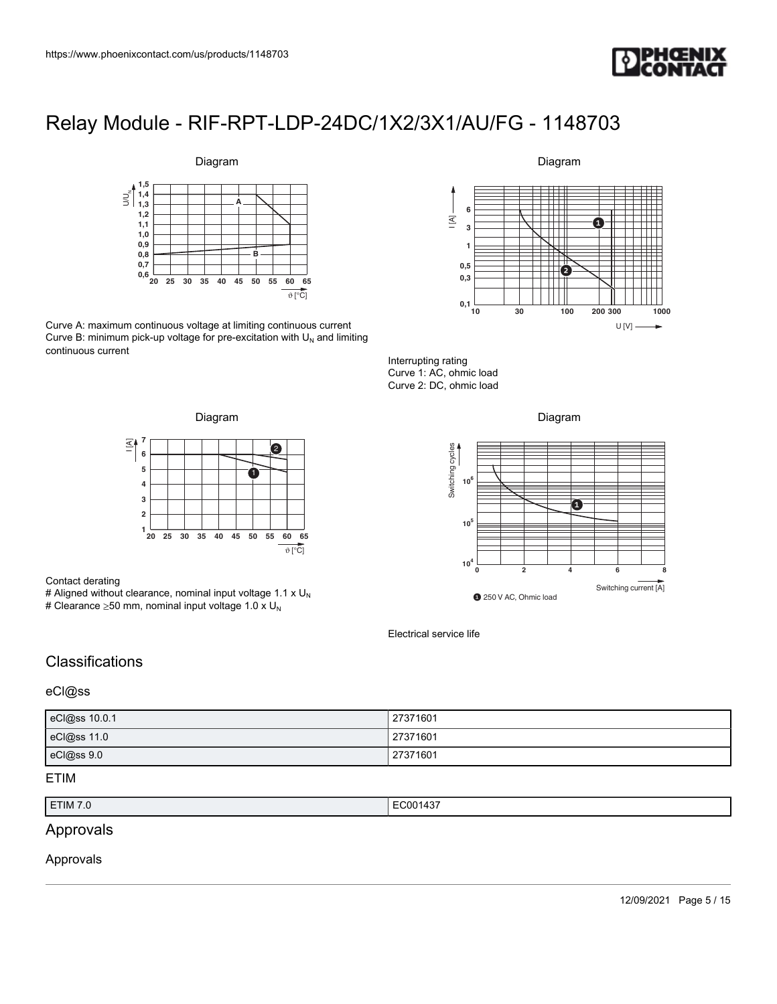



Curve A: maximum continuous voltage at limiting continuous current Curve B: minimum pick-up voltage for pre-excitation with  $U_N$  and limiting continuous current

### Diagram



Interrupting rating Curve 1: AC, ohmic load Curve 2: DC, ohmic load





#### Contact derating

# Aligned without clearance, nominal input voltage 1.1 x  $U_N$ # Clearance  $\geq$ 50 mm, nominal input voltage 1.0 x U<sub>N</sub>





Electrical service life

## **Classifications**

### eCl@ss

| eCl@ss 10.0.1 | 27371601 |
|---------------|----------|
| eCl@ss 11.0   | 27371601 |
| eCl@ss 9.0    | 27371601 |

### ETIM

| ETIM 7.0 | EC001437<br>___ |
|----------|-----------------|

## Approvals

#### Approvals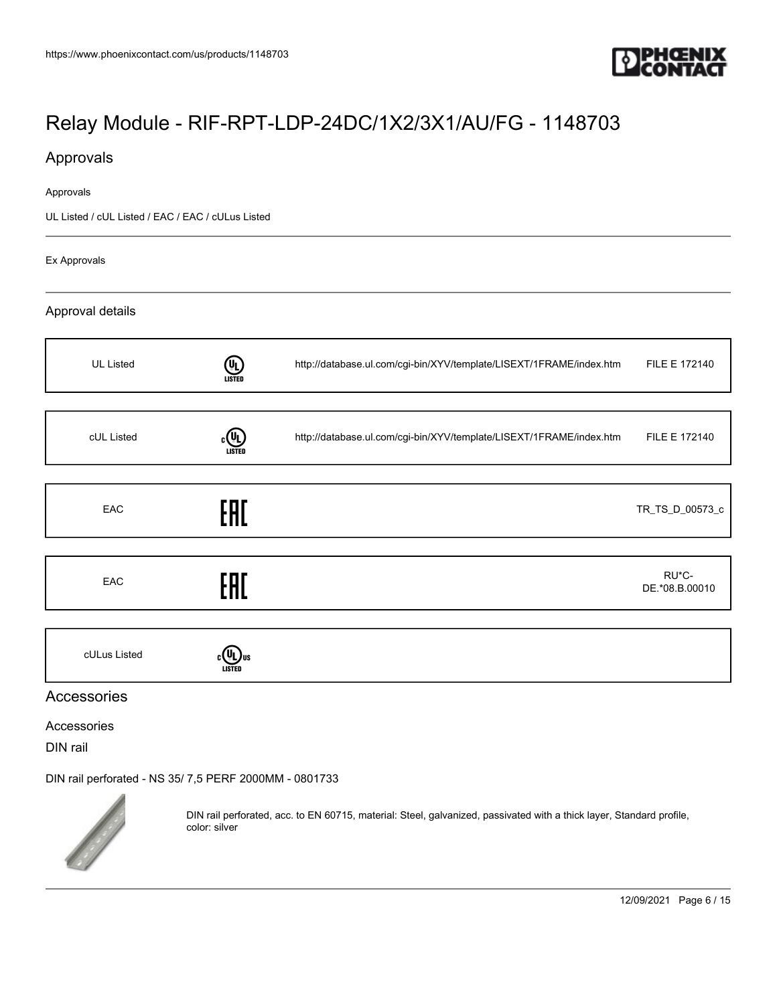

## Approvals

#### Approvals

UL Listed / cUL Listed / EAC / EAC / cULus Listed

Ex Approvals

### Approval details

| <b>UL Listed</b> | $\textcircled{\tiny{4}}$<br><b>LISTED</b> | http://database.ul.com/cgi-bin/XYV/template/LISEXT/1FRAME/index.htm | FILE E 172140           |
|------------------|-------------------------------------------|---------------------------------------------------------------------|-------------------------|
|                  |                                           |                                                                     |                         |
| cUL Listed       | (Կ)<br>LISTED                             | http://database.ul.com/cgi-bin/XYV/template/LISEXT/1FRAME/index.htm | FILE E 172140           |
|                  |                                           |                                                                     |                         |
| EAC              | EAC                                       |                                                                     | TR_TS_D_00573_c         |
|                  |                                           |                                                                     |                         |
| EAC              | EAC                                       |                                                                     | RU*C-<br>DE.*08.B.00010 |
|                  |                                           |                                                                     |                         |
| cULus Listed     |                                           |                                                                     |                         |

### Accessories

Accessories

DIN rail

[DIN rail perforated - NS 35/ 7,5 PERF 2000MM - 0801733](https://www.phoenixcontact.com/us/products/0801733)



DIN rail perforated, acc. to EN 60715, material: Steel, galvanized, passivated with a thick layer, Standard profile, color: silver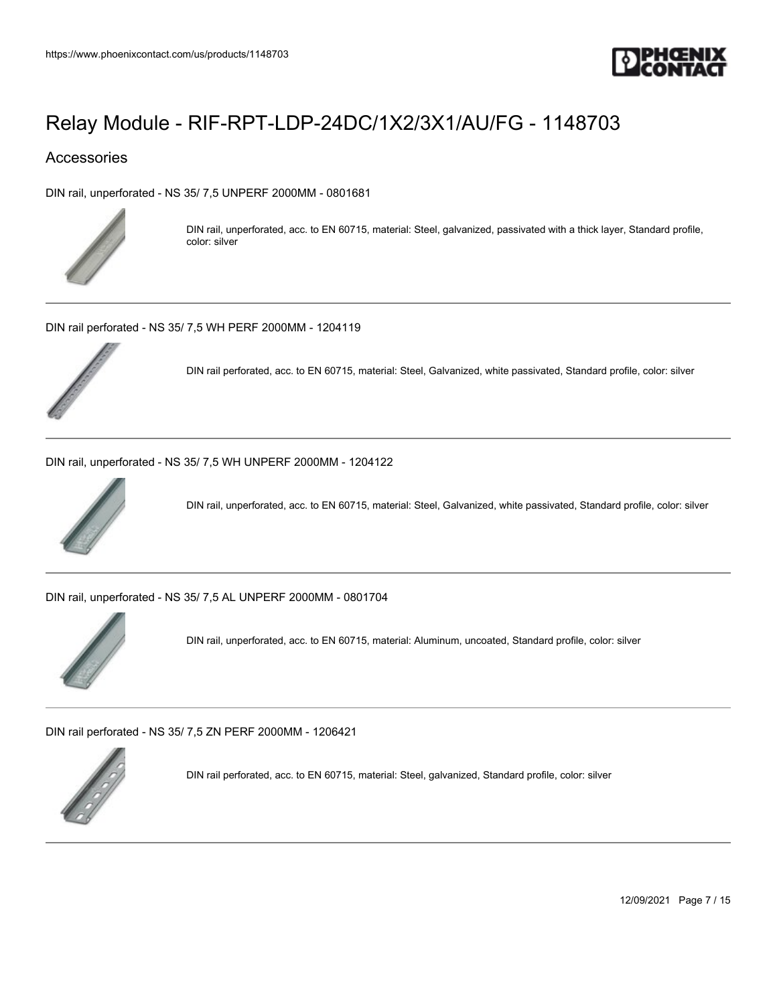

## Accessories

[DIN rail, unperforated - NS 35/ 7,5 UNPERF 2000MM - 0801681](https://www.phoenixcontact.com/us/products/0801681)



DIN rail, unperforated, acc. to EN 60715, material: Steel, galvanized, passivated with a thick layer, Standard profile, color: silver

[DIN rail perforated - NS 35/ 7,5 WH PERF 2000MM - 1204119](https://www.phoenixcontact.com/us/products/1204119)



DIN rail perforated, acc. to EN 60715, material: Steel, Galvanized, white passivated, Standard profile, color: silver

[DIN rail, unperforated - NS 35/ 7,5 WH UNPERF 2000MM - 1204122](https://www.phoenixcontact.com/us/products/1204122)



DIN rail, unperforated, acc. to EN 60715, material: Steel, Galvanized, white passivated, Standard profile, color: silver

[DIN rail, unperforated - NS 35/ 7,5 AL UNPERF 2000MM - 0801704](https://www.phoenixcontact.com/us/products/0801704)



DIN rail, unperforated, acc. to EN 60715, material: Aluminum, uncoated, Standard profile, color: silver

[DIN rail perforated - NS 35/ 7,5 ZN PERF 2000MM - 1206421](https://www.phoenixcontact.com/us/products/1206421)



DIN rail perforated, acc. to EN 60715, material: Steel, galvanized, Standard profile, color: silver

12/09/2021 Page 7 / 15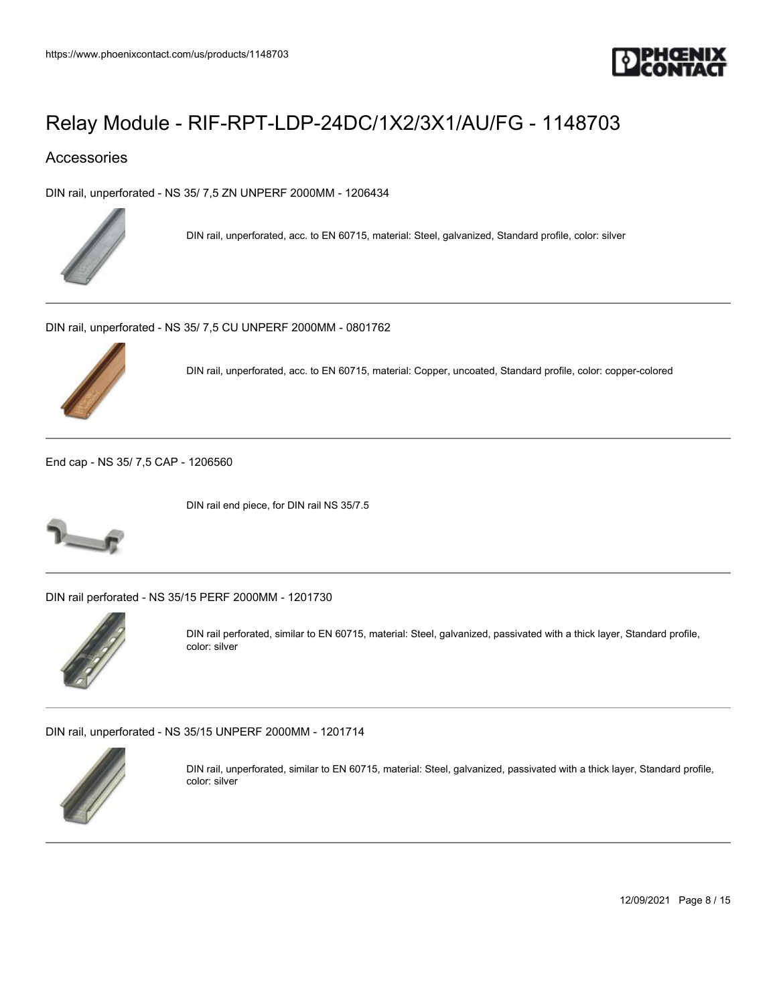

## Accessories

[DIN rail, unperforated - NS 35/ 7,5 ZN UNPERF 2000MM - 1206434](https://www.phoenixcontact.com/us/products/1206434)



DIN rail, unperforated, acc. to EN 60715, material: Steel, galvanized, Standard profile, color: silver

[DIN rail, unperforated - NS 35/ 7,5 CU UNPERF 2000MM - 0801762](https://www.phoenixcontact.com/us/products/0801762)



DIN rail, unperforated, acc. to EN 60715, material: Copper, uncoated, Standard profile, color: copper-colored

[End cap - NS 35/ 7,5 CAP - 1206560](https://www.phoenixcontact.com/us/products/1206560)



DIN rail end piece, for DIN rail NS 35/7.5

[DIN rail perforated - NS 35/15 PERF 2000MM - 1201730](https://www.phoenixcontact.com/us/products/1201730)



DIN rail perforated, similar to EN 60715, material: Steel, galvanized, passivated with a thick layer, Standard profile, color: silver

[DIN rail, unperforated - NS 35/15 UNPERF 2000MM - 1201714](https://www.phoenixcontact.com/us/products/1201714)



DIN rail, unperforated, similar to EN 60715, material: Steel, galvanized, passivated with a thick layer, Standard profile, color: silver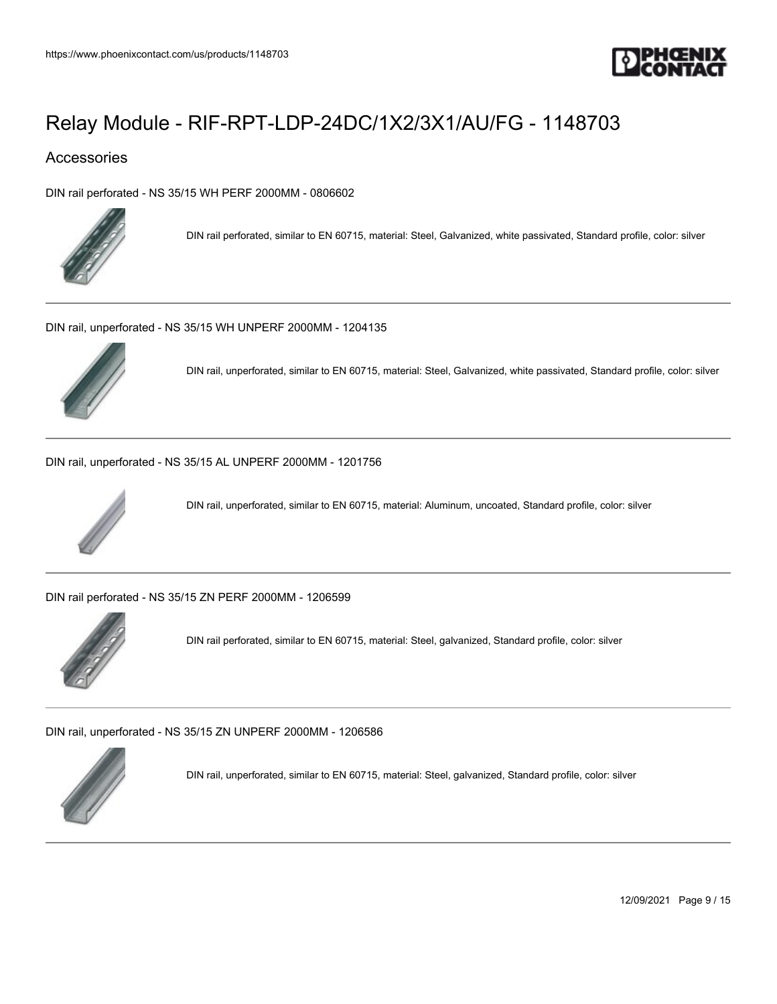

## Accessories

[DIN rail perforated - NS 35/15 WH PERF 2000MM - 0806602](https://www.phoenixcontact.com/us/products/0806602)



DIN rail perforated, similar to EN 60715, material: Steel, Galvanized, white passivated, Standard profile, color: silver

[DIN rail, unperforated - NS 35/15 WH UNPERF 2000MM - 1204135](https://www.phoenixcontact.com/us/products/1204135)



DIN rail, unperforated, similar to EN 60715, material: Steel, Galvanized, white passivated, Standard profile, color: silver

[DIN rail, unperforated - NS 35/15 AL UNPERF 2000MM - 1201756](https://www.phoenixcontact.com/us/products/1201756)



DIN rail, unperforated, similar to EN 60715, material: Aluminum, uncoated, Standard profile, color: silver

[DIN rail perforated - NS 35/15 ZN PERF 2000MM - 1206599](https://www.phoenixcontact.com/us/products/1206599)



DIN rail perforated, similar to EN 60715, material: Steel, galvanized, Standard profile, color: silver

[DIN rail, unperforated - NS 35/15 ZN UNPERF 2000MM - 1206586](https://www.phoenixcontact.com/us/products/1206586)



DIN rail, unperforated, similar to EN 60715, material: Steel, galvanized, Standard profile, color: silver

12/09/2021 Page 9 / 15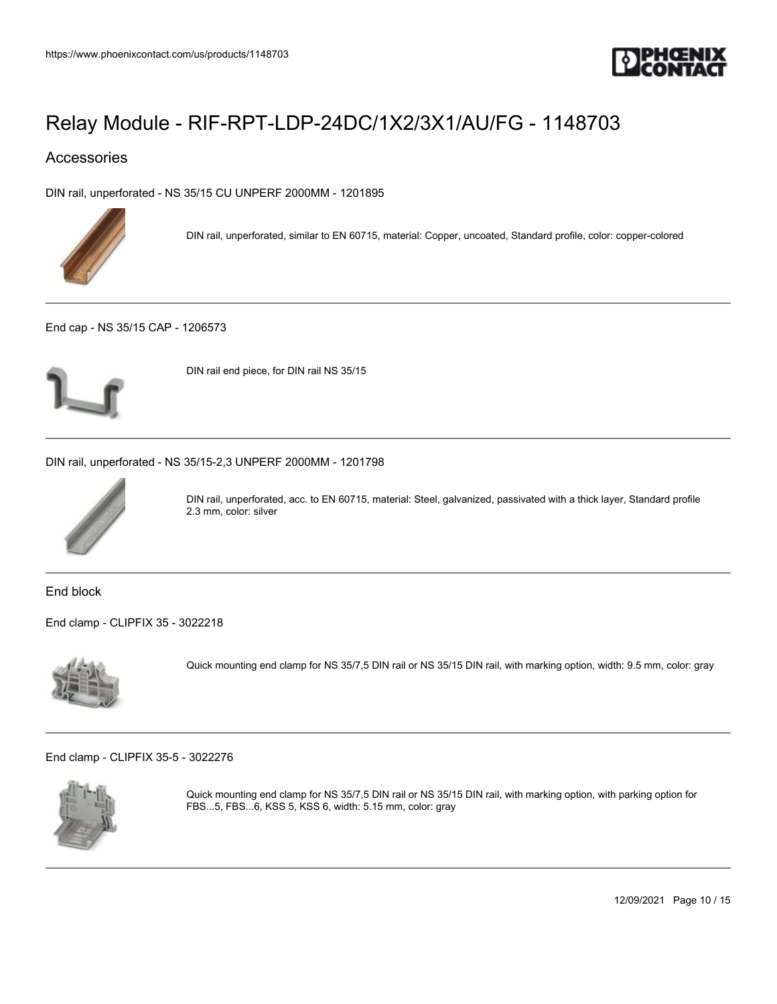

## Accessories

[DIN rail, unperforated - NS 35/15 CU UNPERF 2000MM - 1201895](https://www.phoenixcontact.com/us/products/1201895)



DIN rail, unperforated, similar to EN 60715, material: Copper, uncoated, Standard profile, color: copper-colored

[End cap - NS 35/15 CAP - 1206573](https://www.phoenixcontact.com/us/products/1206573)



DIN rail end piece, for DIN rail NS 35/15

[DIN rail, unperforated - NS 35/15-2,3 UNPERF 2000MM - 1201798](https://www.phoenixcontact.com/us/products/1201798)



DIN rail, unperforated, acc. to EN 60715, material: Steel, galvanized, passivated with a thick layer, Standard profile 2.3 mm, color: silver

End block

[End clamp - CLIPFIX 35 - 3022218](https://www.phoenixcontact.com/us/products/3022218)



Quick mounting end clamp for NS 35/7,5 DIN rail or NS 35/15 DIN rail, with marking option, width: 9.5 mm, color: gray

[End clamp - CLIPFIX 35-5 - 3022276](https://www.phoenixcontact.com/us/products/3022276)



Quick mounting end clamp for NS 35/7,5 DIN rail or NS 35/15 DIN rail, with marking option, with parking option for FBS...5, FBS...6, KSS 5, KSS 6, width: 5.15 mm, color: gray

12/09/2021 Page 10 / 15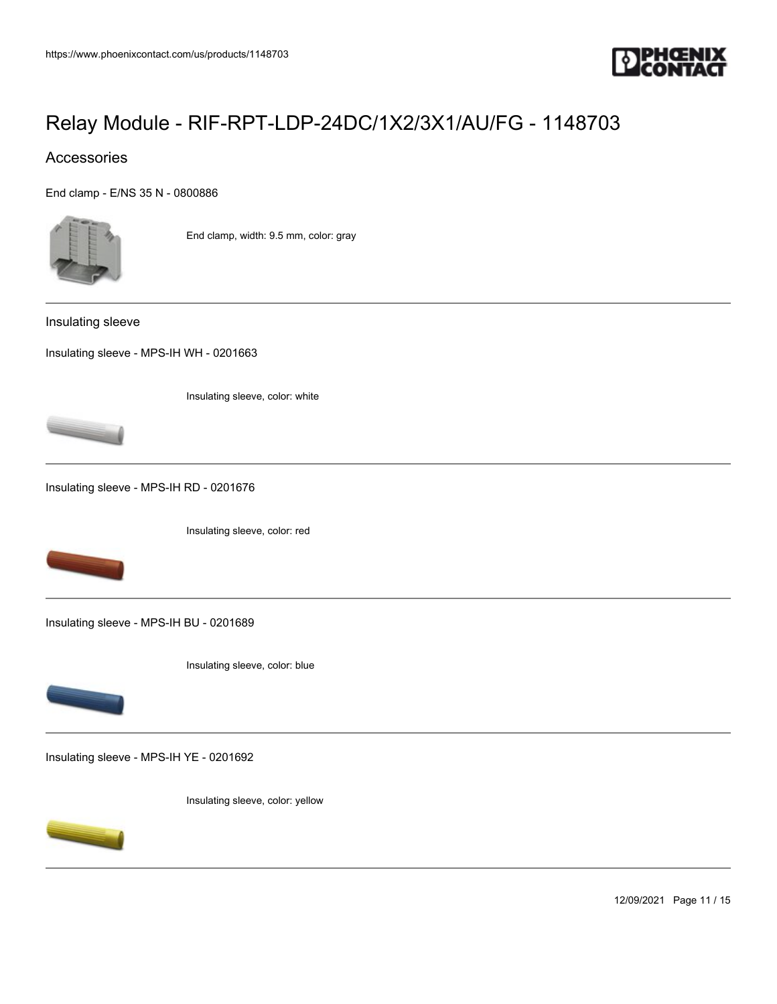

## Accessories

[End clamp - E/NS 35 N - 0800886](https://www.phoenixcontact.com/us/products/0800886)



End clamp, width: 9.5 mm, color: gray

Insulating sleeve

[Insulating sleeve - MPS-IH WH - 0201663](https://www.phoenixcontact.com/us/products/0201663)

Insulating sleeve, color: white



[Insulating sleeve - MPS-IH RD - 0201676](https://www.phoenixcontact.com/us/products/0201676)

Insulating sleeve, color: red



[Insulating sleeve - MPS-IH BU - 0201689](https://www.phoenixcontact.com/us/products/0201689)





[Insulating sleeve - MPS-IH YE - 0201692](https://www.phoenixcontact.com/us/products/0201692)

Insulating sleeve, color: yellow



12/09/2021 Page 11 / 15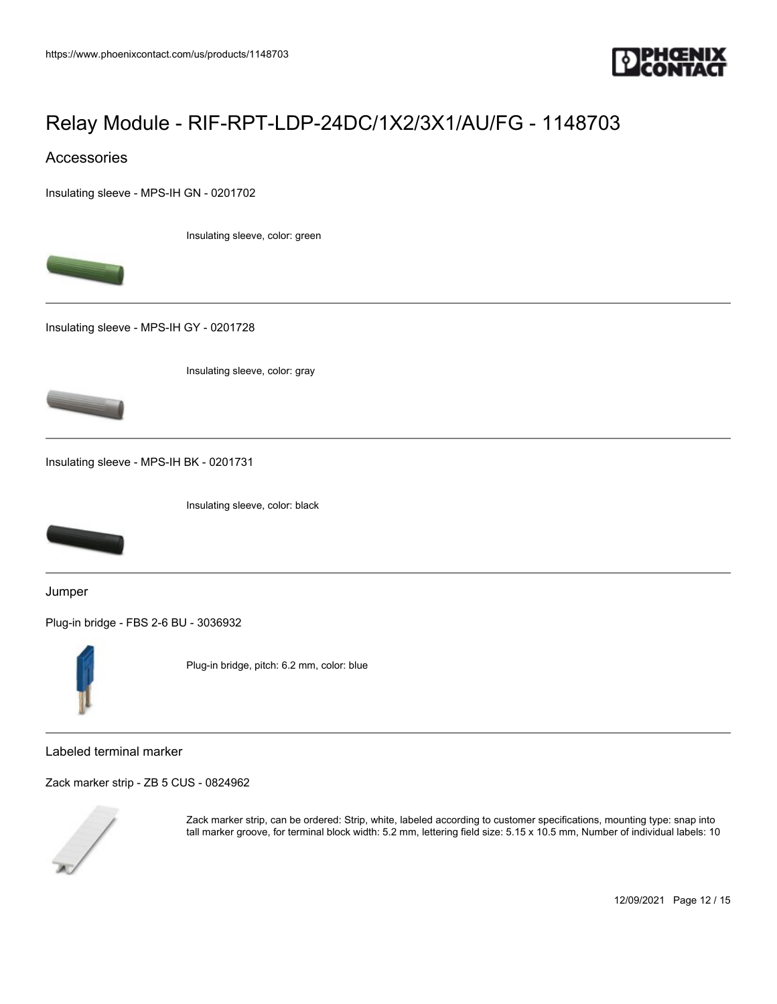

## Accessories

[Insulating sleeve - MPS-IH GN - 0201702](https://www.phoenixcontact.com/us/products/0201702)

Insulating sleeve, color: green



[Insulating sleeve - MPS-IH GY - 0201728](https://www.phoenixcontact.com/us/products/0201728)

Insulating sleeve, color: gray



[Insulating sleeve - MPS-IH BK - 0201731](https://www.phoenixcontact.com/us/products/0201731)

Insulating sleeve, color: black



Jumper

[Plug-in bridge - FBS 2-6 BU - 3036932](https://www.phoenixcontact.com/us/products/3036932)



Plug-in bridge, pitch: 6.2 mm, color: blue

Labeled terminal marker

[Zack marker strip - ZB 5 CUS - 0824962](https://www.phoenixcontact.com/us/products/0824962)



Zack marker strip, can be ordered: Strip, white, labeled according to customer specifications, mounting type: snap into tall marker groove, for terminal block width: 5.2 mm, lettering field size: 5.15 x 10.5 mm, Number of individual labels: 10

12/09/2021 Page 12 / 15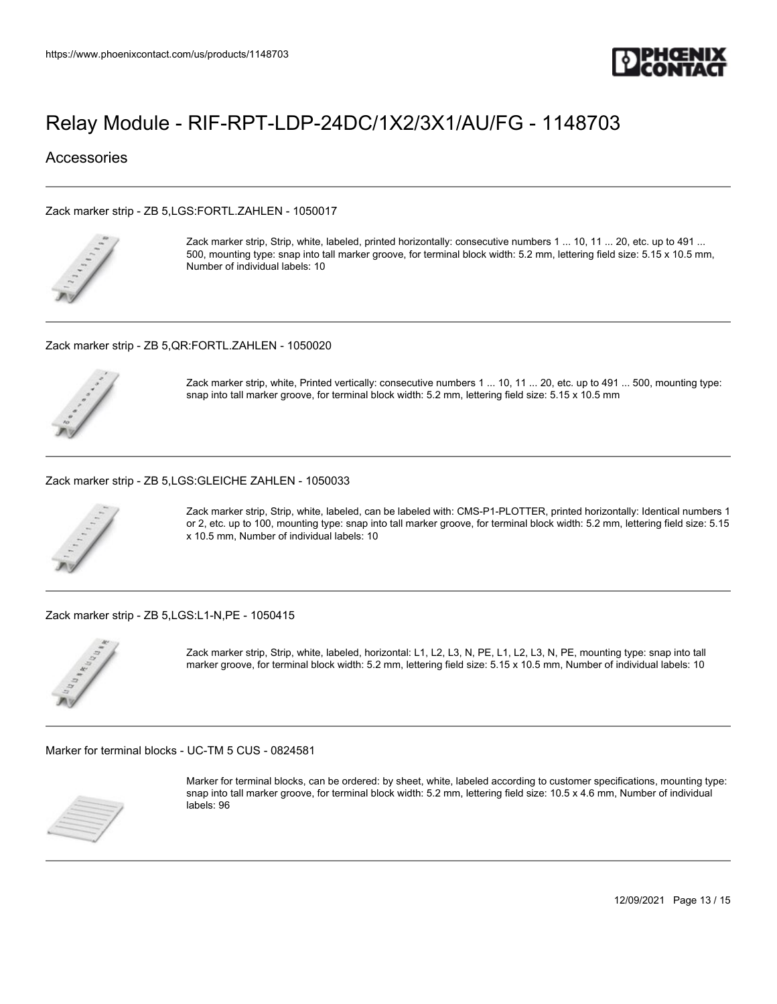

### **Accessories**

#### [Zack marker strip - ZB 5,LGS:FORTL.ZAHLEN - 1050017](https://www.phoenixcontact.com/us/products/1050017)



Zack marker strip, Strip, white, labeled, printed horizontally: consecutive numbers 1 ... 10, 11 ... 20, etc. up to 491 ... 500, mounting type: snap into tall marker groove, for terminal block width: 5.2 mm, lettering field size: 5.15 x 10.5 mm, Number of individual labels: 10

#### [Zack marker strip - ZB 5,QR:FORTL.ZAHLEN - 1050020](https://www.phoenixcontact.com/us/products/1050020)



Zack marker strip, white, Printed vertically: consecutive numbers 1 ... 10, 11 ... 20, etc. up to 491 ... 500, mounting type: snap into tall marker groove, for terminal block width: 5.2 mm, lettering field size: 5.15 x 10.5 mm

#### [Zack marker strip - ZB 5,LGS:GLEICHE ZAHLEN - 1050033](https://www.phoenixcontact.com/us/products/1050033)



Zack marker strip, Strip, white, labeled, can be labeled with: CMS-P1-PLOTTER, printed horizontally: Identical numbers 1 or 2, etc. up to 100, mounting type: snap into tall marker groove, for terminal block width: 5.2 mm, lettering field size: 5.15 x 10.5 mm, Number of individual labels: 10

#### [Zack marker strip - ZB 5,LGS:L1-N,PE - 1050415](https://www.phoenixcontact.com/us/products/1050415)



Zack marker strip, Strip, white, labeled, horizontal: L1, L2, L3, N, PE, L1, L2, L3, N, PE, mounting type: snap into tall marker groove, for terminal block width: 5.2 mm, lettering field size: 5.15 x 10.5 mm, Number of individual labels: 10

[Marker for terminal blocks - UC-TM 5 CUS - 0824581](https://www.phoenixcontact.com/us/products/0824581)



Marker for terminal blocks, can be ordered: by sheet, white, labeled according to customer specifications, mounting type: snap into tall marker groove, for terminal block width: 5.2 mm, lettering field size: 10.5 x 4.6 mm, Number of individual labels: 96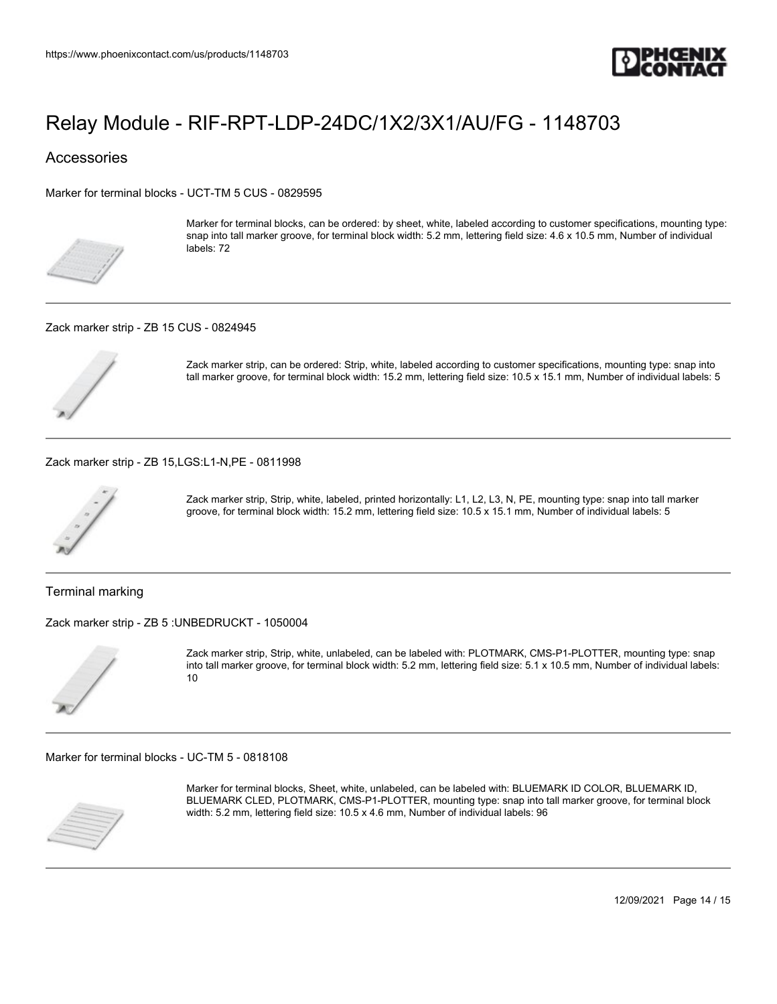

### **Accessories**

[Marker for terminal blocks - UCT-TM 5 CUS - 0829595](https://www.phoenixcontact.com/us/products/0829595)



Marker for terminal blocks, can be ordered: by sheet, white, labeled according to customer specifications, mounting type: snap into tall marker groove, for terminal block width: 5.2 mm, lettering field size: 4.6 x 10.5 mm, Number of individual labels: 72

[Zack marker strip - ZB 15 CUS - 0824945](https://www.phoenixcontact.com/us/products/0824945)



Zack marker strip, can be ordered: Strip, white, labeled according to customer specifications, mounting type: snap into tall marker groove, for terminal block width: 15.2 mm, lettering field size: 10.5 x 15.1 mm, Number of individual labels: 5

[Zack marker strip - ZB 15,LGS:L1-N,PE - 0811998](https://www.phoenixcontact.com/us/products/0811998)



Zack marker strip, Strip, white, labeled, printed horizontally: L1, L2, L3, N, PE, mounting type: snap into tall marker groove, for terminal block width: 15.2 mm, lettering field size: 10.5 x 15.1 mm, Number of individual labels: 5

Terminal marking

[Zack marker strip - ZB 5 :UNBEDRUCKT - 1050004](https://www.phoenixcontact.com/us/products/1050004)



Zack marker strip, Strip, white, unlabeled, can be labeled with: PLOTMARK, CMS-P1-PLOTTER, mounting type: snap into tall marker groove, for terminal block width: 5.2 mm, lettering field size: 5.1 x 10.5 mm, Number of individual labels: 10

[Marker for terminal blocks - UC-TM 5 - 0818108](https://www.phoenixcontact.com/us/products/0818108)



Marker for terminal blocks, Sheet, white, unlabeled, can be labeled with: BLUEMARK ID COLOR, BLUEMARK ID, BLUEMARK CLED, PLOTMARK, CMS-P1-PLOTTER, mounting type: snap into tall marker groove, for terminal block width: 5.2 mm, lettering field size: 10.5 x 4.6 mm, Number of individual labels: 96

12/09/2021 Page 14 / 15